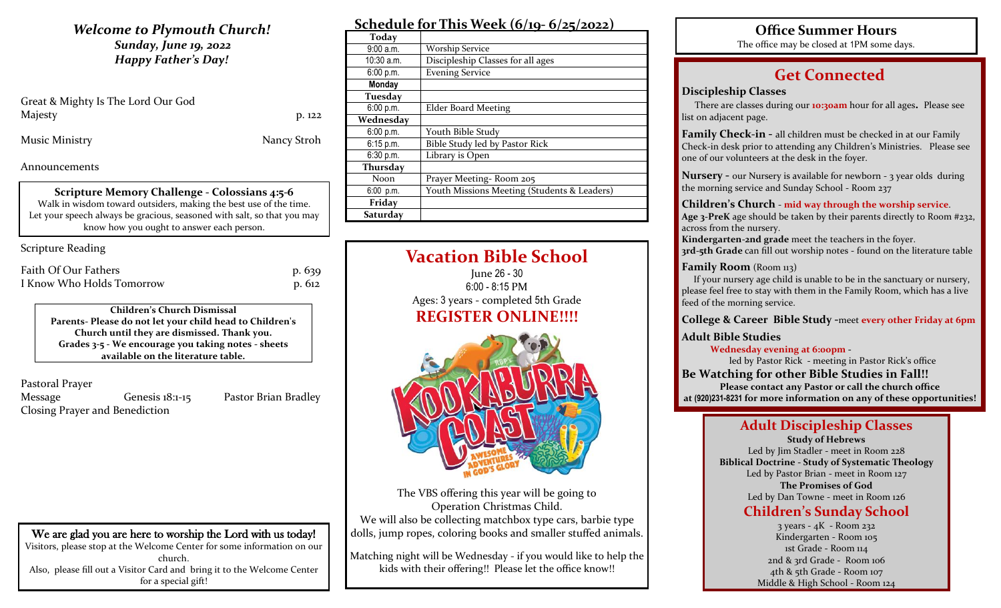# *Sunday, June 19, 2022 Happy Father's Day!*

Great & Mighty Is The Lord Our God Majesty p. 122 Music Ministry **Nancy Stroh** Announcements **Scripture Memory Challenge - Colossians 4:5-6** Walk in wisdom toward outsiders, making the best use of the time. Let your speech always be gracious, seasoned with salt, so that you may know how you ought to answer each person.

### Scripture Reading

| Faith Of Our Fathers      | p. 639 |
|---------------------------|--------|
| I Know Who Holds Tomorrow | p. 612 |

**Children's Church Dismissal Parents- Please do not let your child head to Children's Church until they are dismissed. Thank you. Grades 3-5 - We encourage you taking notes - sheets available on the literature table.**

Pastoral Prayer Message Genesis 18:1-15 Pastor Brian Bradley Closing Prayer and Benediction

We are glad you are here to worship the Lord with us today! Visitors, please stop at the Welcome Center for some information on our church. Also, please fill out a Visitor Card and bring it to the Welcome Center for a special gift!

# *Welcome to Plymouth Church!* **Schedule for This Week (6/19- 6/25/2022)**

|              | <u>TECH (0/19 0/21/2022)</u>                |
|--------------|---------------------------------------------|
| Today        |                                             |
| 9:00a.m.     | <b>Worship Service</b>                      |
| $10:30$ a.m. | Discipleship Classes for all ages           |
| 6:00 p.m.    | <b>Evening Service</b>                      |
| Monday       |                                             |
| Tuesday      |                                             |
| 6:00 p.m.    | Elder Board Meeting                         |
| Wednesday    |                                             |
| 6:00 p.m.    | Youth Bible Study                           |
| $6:15$ p.m.  | Bible Study led by Pastor Rick              |
| 6:30 p.m.    | Library is Open                             |
| Thursday     |                                             |
| <b>Noon</b>  | Prayer Meeting-Room 205                     |
| 6:00 p.m.    | Youth Missions Meeting (Students & Leaders) |
| Friday       |                                             |
| Saturday     |                                             |

# **Vacation Bible School**

June 26 - 30 6:00 - 8:15 PM Ages: 3 years - completed 5th Grade **REGISTER ONLINE!!!!**



The VBS offering this year will be going to Operation Christmas Child. We will also be collecting matchbox type cars, barbie type dolls, jump ropes, coloring books and smaller stuffed animals.

Matching night will be Wednesday - if you would like to help the kids with their offering!! Please let the office know!!

## **Office Summer Hours**

The office may be closed at 1PM some days.

# **Get Connected**

## **Discipleship Classes**

There are classes during our **10:30am** hour for all ages**.** Please see list on adjacent page.

**Family Check-in -** all children must be checked in at our Family Check-in desk prior to attending any Children's Ministries. Please see one of our volunteers at the desk in the foyer.

**Nursery -** our Nursery is available for newborn - 3 year olds during the morning service and Sunday School - Room 237

## **Children's Church** - **mid way through the worship service**.

**Age 3-PreK** age should be taken by their parents directly to Room #232, across from the nursery.

**Kindergarten-2nd grade** meet the teachers in the foyer. **3rd-5th Grade** can fill out worship notes - found on the literature table

## **Family Room** (Room 113)

 If your nursery age child is unable to be in the sanctuary or nursery, please feel free to stay with them in the Family Room, which has a live feed of the morning service.

## **College & Career Bible Study -**meet **every other Friday at 6pm**

## **Adult Bible Studies**

 **Wednesday evening at 6:00pm -**

led by Pastor Rick - meeting in Pastor Rick's office **Be Watching for other Bible Studies in Fall!! Please contact any Pastor or call the church office at (920)231-8231 for more information on any of these opportunities!**

## **Adult Discipleship Classes**

**Study of Hebrews** Led by Jim Stadler - meet in Room 228 **Biblical Doctrine - Study of Systematic Theology** Led by Pastor Brian - meet in Room 127 **The Promises of God** Led by Dan Towne - meet in Room 126 **Children's Sunday School**

> 3 years - 4K - Room 232 Kindergarten - Room 105 1st Grade - Room 114 2nd & 3rd Grade - Room 106 4th & 5th Grade - Room 107 Middle & High School - Room 124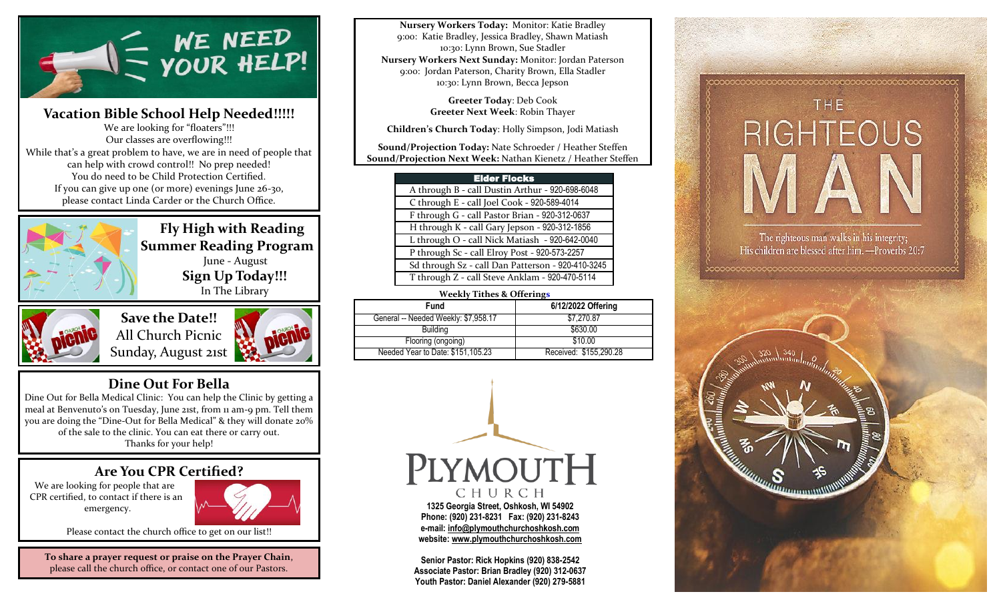

**Vacation Bible School Help Needed!!!!!** We are looking for "floaters"!!! Our classes are overflowing!!! While that's a great problem to have, we are in need of people that can help with crowd control!! No prep needed! You do need to be Child Protection Certified. If you can give up one (or more) evenings June 26-30, please contact Linda Carder or the Church Office.



 **Fly High with Reading Summer Reading Program** June - August **Sign Up Today!!!** In The Library







## **Dine Out For Bella**

Dine Out for Bella Medical Clinic: You can help the Clinic by getting a meal at Benvenuto's on Tuesday, June 21st, from 11 am-9 pm. Tell them you are doing the "Dine-Out for Bella Medical" & they will donate 20% of the sale to the clinic. You can eat there or carry out. Thanks for your help!

## **Are You CPR Certified?**

 We are looking for people that are CPR certified, to contact if there is an emergency.



Please contact the church office to get on our list!!

**To share a prayer request or praise on the Prayer Chain**, please call the church office, or contact one of our Pastors.

**Nursery Workers Today:** Monitor: Katie Bradley 9:00: Katie Bradley, Jessica Bradley, Shawn Matiash 10:30: Lynn Brown, Sue Stadler **Nursery Workers Next Sunday:** Monitor: Jordan Paterson 9:00: Jordan Paterson, Charity Brown, Ella Stadler 10:30: Lynn Brown, Becca Jepson

> **Greeter Today**: Deb Cook **Greeter Next Week**: Robin Thayer

**Children's Church Today**: Holly Simpson, Jodi Matiash

**Sound/Projection Today:** Nate Schroeder / Heather Steffen **Sound/Projection Next Week:** Nathan Kienetz / Heather Steffen

| <b>Elder Flocks</b>                               |  |
|---------------------------------------------------|--|
| A through B - call Dustin Arthur - 920-698-6048   |  |
| C through E - call Joel Cook - 920-589-4014       |  |
| F through G - call Pastor Brian - 920-312-0637    |  |
| H through K - call Gary Jepson - 920-312-1856     |  |
| L through O - call Nick Matiash - 920-642-0040    |  |
| P through Sc - call Elroy Post - 920-573-2257     |  |
| Sd through Sz - call Dan Patterson - 920-410-3245 |  |
| T through Z - call Steve Anklam - 920-470-5114    |  |

#### **Weekly Tithes & Offerings**

|                                      | --                     |
|--------------------------------------|------------------------|
| Fund                                 | 6/12/2022 Offering     |
| General -- Needed Weekly: \$7,958.17 | \$7,270.87             |
| <b>Building</b>                      | \$630.00               |
| Flooring (ongoing)                   | \$10.00                |
| Needed Year to Date: \$151,105.23    | Received: \$155,290.28 |



# **Associate Pastor: Brian Bradley (920) 312-0637 Youth Pastor: Daniel Alexander (920) 279-5881**

# THE RIGHTEOUS

The righteous man walks in his integrity; His children are blessed after him. - Proverbs 20:7

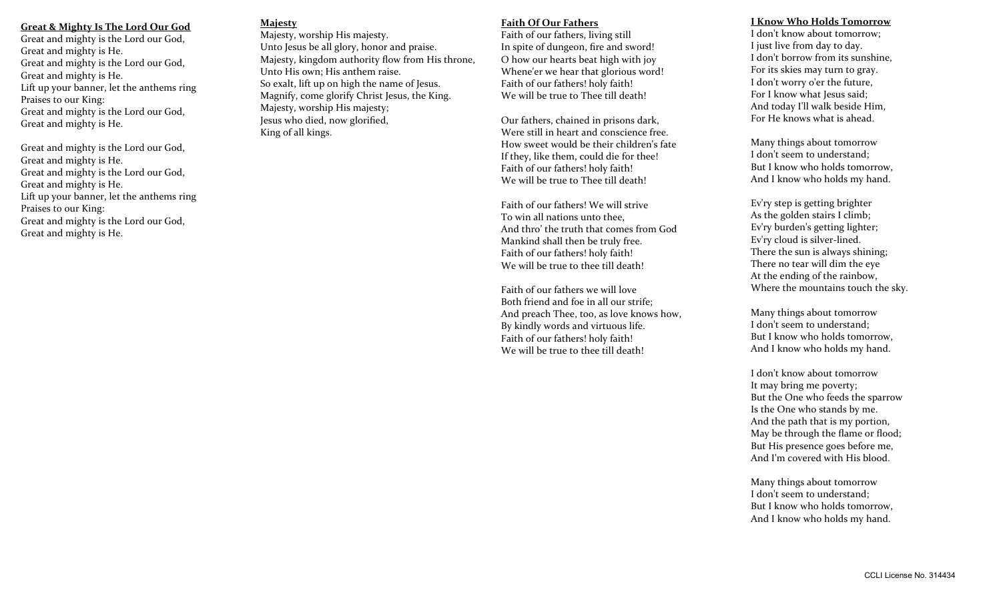#### **Great & Mighty Is The Lord Our God**

Great and mighty is the Lord our God, Great and mighty is He. Great and mighty is the Lord our God, Great and mighty is He. Lift up your banner, let the anthems ring Praises to our King: Great and mighty is the Lord our God, Great and mighty is He.

Great and mighty is the Lord our God, Great and mighty is He. Great and mighty is the Lord our God, Great and mighty is He. Lift up your banner, let the anthems ring Praises to our King: Great and mighty is the Lord our God, Great and mighty is He.

#### **Majesty**

Majesty, worship His majesty. Unto Jesus be all glory, honor and praise. Majesty, kingdom authority flow from His throne, Unto His own; His anthem raise. So exalt, lift up on high the name of Jesus. Magnify, come glorify Christ Jesus, the King. Majesty, worship His majesty; Jesus who died, now glorified, King of all kings.

#### **Faith Of Our Fathers**

Faith of our fathers, living still In spite of dungeon, fire and sword! O how our hearts beat high with joy Whene'er we hear that glorious word! Faith of our fathers! holy faith! We will be true to Thee till death!

Our fathers, chained in prisons dark, Were still in heart and conscience free. How sweet would be their children's fate If they, like them, could die for thee! Faith of our fathers! holy faith! We will be true to Thee till death!

Faith of our fathers! We will strive To win all nations unto thee, And thro' the truth that comes from God Mankind shall then be truly free. Faith of our fathers! holy faith! We will be true to thee till death!

Faith of our fathers we will love Both friend and foe in all our strife; And preach Thee, too, as love knows how, By kindly words and virtuous life. Faith of our fathers! holy faith! We will be true to thee till death!

#### **I Know Who Holds Tomorrow**

I don't know about tomorrow; I just live from day to day. I don't borrow from its sunshine, For its skies may turn to gray. I don't worry o'er the future, For I know what Jesus said: And today I'll walk beside Him, For He knows what is ahead.

Many things about tomorrow I don't seem to understand; But I know who holds tomorrow, And I know who holds my hand.

Ev'ry step is getting brighter As the golden stairs I climb; Ev'ry burden's getting lighter; Ev'ry cloud is silver-lined. There the sun is always shining; There no tear will dim the eye At the ending of the rainbow, Where the mountains touch the sky.

Many things about tomorrow I don't seem to understand; But I know who holds tomorrow, And I know who holds my hand.

I don't know about tomorrow It may bring me poverty; But the One who feeds the sparrow Is the One who stands by me. And the path that is my portion, May be through the flame or flood; But His presence goes before me, And I'm covered with His blood.

Many things about tomorrow I don't seem to understand; But I know who holds tomorrow, And I know who holds my hand.